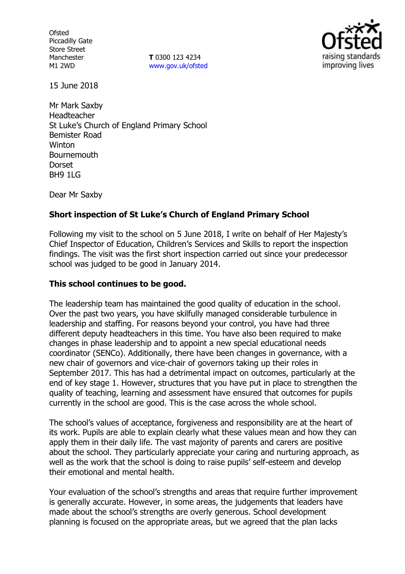**Ofsted** Piccadilly Gate Store Street Manchester M1 2WD

**T** 0300 123 4234 www.gov.uk/ofsted



15 June 2018

Mr Mark Saxby Headteacher St Luke's Church of England Primary School Bemister Road **Winton Bournemouth Dorset** BH9 1LG

Dear Mr Saxby

## **Short inspection of St Luke's Church of England Primary School**

Following my visit to the school on 5 June 2018, I write on behalf of Her Majesty's Chief Inspector of Education, Children's Services and Skills to report the inspection findings. The visit was the first short inspection carried out since your predecessor school was judged to be good in January 2014.

#### **This school continues to be good.**

The leadership team has maintained the good quality of education in the school. Over the past two years, you have skilfully managed considerable turbulence in leadership and staffing. For reasons beyond your control, you have had three different deputy headteachers in this time. You have also been required to make changes in phase leadership and to appoint a new special educational needs coordinator (SENCo). Additionally, there have been changes in governance, with a new chair of governors and vice-chair of governors taking up their roles in September 2017. This has had a detrimental impact on outcomes, particularly at the end of key stage 1. However, structures that you have put in place to strengthen the quality of teaching, learning and assessment have ensured that outcomes for pupils currently in the school are good. This is the case across the whole school.

The school's values of acceptance, forgiveness and responsibility are at the heart of its work. Pupils are able to explain clearly what these values mean and how they can apply them in their daily life. The vast majority of parents and carers are positive about the school. They particularly appreciate your caring and nurturing approach, as well as the work that the school is doing to raise pupils' self-esteem and develop their emotional and mental health.

Your evaluation of the school's strengths and areas that require further improvement is generally accurate. However, in some areas, the judgements that leaders have made about the school's strengths are overly generous. School development planning is focused on the appropriate areas, but we agreed that the plan lacks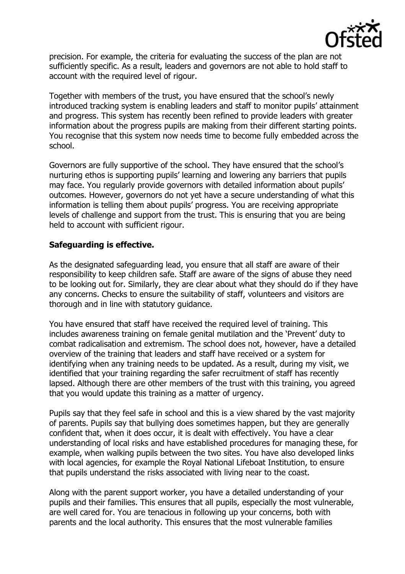

precision. For example, the criteria for evaluating the success of the plan are not sufficiently specific. As a result, leaders and governors are not able to hold staff to account with the required level of rigour.

Together with members of the trust, you have ensured that the school's newly introduced tracking system is enabling leaders and staff to monitor pupils' attainment and progress. This system has recently been refined to provide leaders with greater information about the progress pupils are making from their different starting points. You recognise that this system now needs time to become fully embedded across the school.

Governors are fully supportive of the school. They have ensured that the school's nurturing ethos is supporting pupils' learning and lowering any barriers that pupils may face. You regularly provide governors with detailed information about pupils' outcomes. However, governors do not yet have a secure understanding of what this information is telling them about pupils' progress. You are receiving appropriate levels of challenge and support from the trust. This is ensuring that you are being held to account with sufficient rigour.

### **Safeguarding is effective.**

As the designated safeguarding lead, you ensure that all staff are aware of their responsibility to keep children safe. Staff are aware of the signs of abuse they need to be looking out for. Similarly, they are clear about what they should do if they have any concerns. Checks to ensure the suitability of staff, volunteers and visitors are thorough and in line with statutory guidance.

You have ensured that staff have received the required level of training. This includes awareness training on female genital mutilation and the 'Prevent' duty to combat radicalisation and extremism. The school does not, however, have a detailed overview of the training that leaders and staff have received or a system for identifying when any training needs to be updated. As a result, during my visit, we identified that your training regarding the safer recruitment of staff has recently lapsed. Although there are other members of the trust with this training, you agreed that you would update this training as a matter of urgency.

Pupils say that they feel safe in school and this is a view shared by the vast majority of parents. Pupils say that bullying does sometimes happen, but they are generally confident that, when it does occur, it is dealt with effectively. You have a clear understanding of local risks and have established procedures for managing these, for example, when walking pupils between the two sites. You have also developed links with local agencies, for example the Royal National Lifeboat Institution, to ensure that pupils understand the risks associated with living near to the coast.

Along with the parent support worker, you have a detailed understanding of your pupils and their families. This ensures that all pupils, especially the most vulnerable, are well cared for. You are tenacious in following up your concerns, both with parents and the local authority. This ensures that the most vulnerable families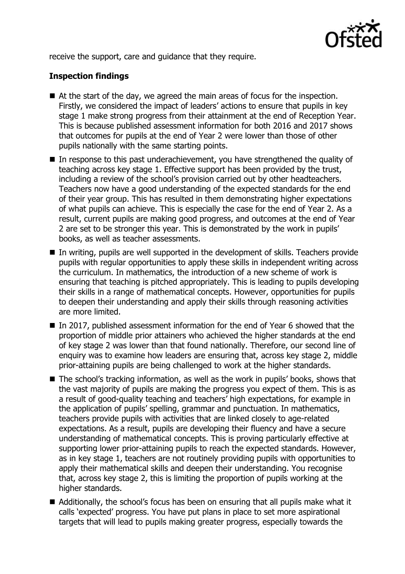

receive the support, care and guidance that they require.

# **Inspection findings**

- At the start of the day, we agreed the main areas of focus for the inspection. Firstly, we considered the impact of leaders' actions to ensure that pupils in key stage 1 make strong progress from their attainment at the end of Reception Year. This is because published assessment information for both 2016 and 2017 shows that outcomes for pupils at the end of Year 2 were lower than those of other pupils nationally with the same starting points.
- $\blacksquare$  In response to this past underachievement, you have strengthened the quality of teaching across key stage 1. Effective support has been provided by the trust, including a review of the school's provision carried out by other headteachers. Teachers now have a good understanding of the expected standards for the end of their year group. This has resulted in them demonstrating higher expectations of what pupils can achieve. This is especially the case for the end of Year 2. As a result, current pupils are making good progress, and outcomes at the end of Year 2 are set to be stronger this year. This is demonstrated by the work in pupils' books, as well as teacher assessments.
- In writing, pupils are well supported in the development of skills. Teachers provide pupils with regular opportunities to apply these skills in independent writing across the curriculum. In mathematics, the introduction of a new scheme of work is ensuring that teaching is pitched appropriately. This is leading to pupils developing their skills in a range of mathematical concepts. However, opportunities for pupils to deepen their understanding and apply their skills through reasoning activities are more limited.
- In 2017, published assessment information for the end of Year 6 showed that the proportion of middle prior attainers who achieved the higher standards at the end of key stage 2 was lower than that found nationally. Therefore, our second line of enquiry was to examine how leaders are ensuring that, across key stage 2, middle prior-attaining pupils are being challenged to work at the higher standards.
- The school's tracking information, as well as the work in pupils' books, shows that the vast majority of pupils are making the progress you expect of them. This is as a result of good-quality teaching and teachers' high expectations, for example in the application of pupils' spelling, grammar and punctuation. In mathematics, teachers provide pupils with activities that are linked closely to age-related expectations. As a result, pupils are developing their fluency and have a secure understanding of mathematical concepts. This is proving particularly effective at supporting lower prior-attaining pupils to reach the expected standards. However, as in key stage 1, teachers are not routinely providing pupils with opportunities to apply their mathematical skills and deepen their understanding. You recognise that, across key stage 2, this is limiting the proportion of pupils working at the higher standards.
- Additionally, the school's focus has been on ensuring that all pupils make what it calls 'expected' progress. You have put plans in place to set more aspirational targets that will lead to pupils making greater progress, especially towards the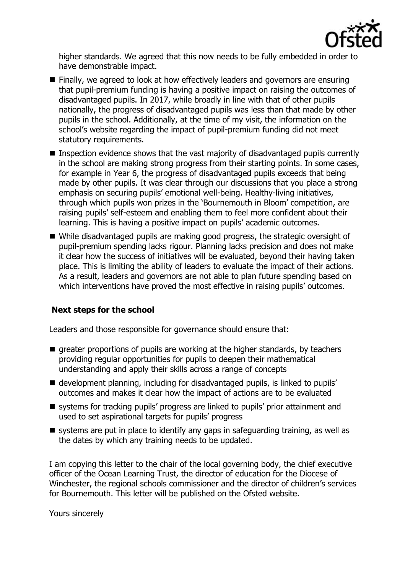

higher standards. We agreed that this now needs to be fully embedded in order to have demonstrable impact.

- Finally, we agreed to look at how effectively leaders and governors are ensuring that pupil-premium funding is having a positive impact on raising the outcomes of disadvantaged pupils. In 2017, while broadly in line with that of other pupils nationally, the progress of disadvantaged pupils was less than that made by other pupils in the school. Additionally, at the time of my visit, the information on the school's website regarding the impact of pupil-premium funding did not meet statutory requirements.
- **Inspection evidence shows that the vast majority of disadvantaged pupils currently** in the school are making strong progress from their starting points. In some cases, for example in Year 6, the progress of disadvantaged pupils exceeds that being made by other pupils. It was clear through our discussions that you place a strong emphasis on securing pupils' emotional well-being. Healthy-living initiatives, through which pupils won prizes in the 'Bournemouth in Bloom' competition, are raising pupils' self-esteem and enabling them to feel more confident about their learning. This is having a positive impact on pupils' academic outcomes.
- While disadvantaged pupils are making good progress, the strategic oversight of pupil-premium spending lacks rigour. Planning lacks precision and does not make it clear how the success of initiatives will be evaluated, beyond their having taken place. This is limiting the ability of leaders to evaluate the impact of their actions. As a result, leaders and governors are not able to plan future spending based on which interventions have proved the most effective in raising pupils' outcomes.

# **Next steps for the school**

Leaders and those responsible for governance should ensure that:

- $\blacksquare$  greater proportions of pupils are working at the higher standards, by teachers providing regular opportunities for pupils to deepen their mathematical understanding and apply their skills across a range of concepts
- development planning, including for disadvantaged pupils, is linked to pupils' outcomes and makes it clear how the impact of actions are to be evaluated
- systems for tracking pupils' progress are linked to pupils' prior attainment and used to set aspirational targets for pupils' progress
- $\blacksquare$  systems are put in place to identify any gaps in safeguarding training, as well as the dates by which any training needs to be updated.

I am copying this letter to the chair of the local governing body, the chief executive officer of the Ocean Learning Trust, the director of education for the Diocese of Winchester, the regional schools commissioner and the director of children's services for Bournemouth. This letter will be published on the Ofsted website.

Yours sincerely